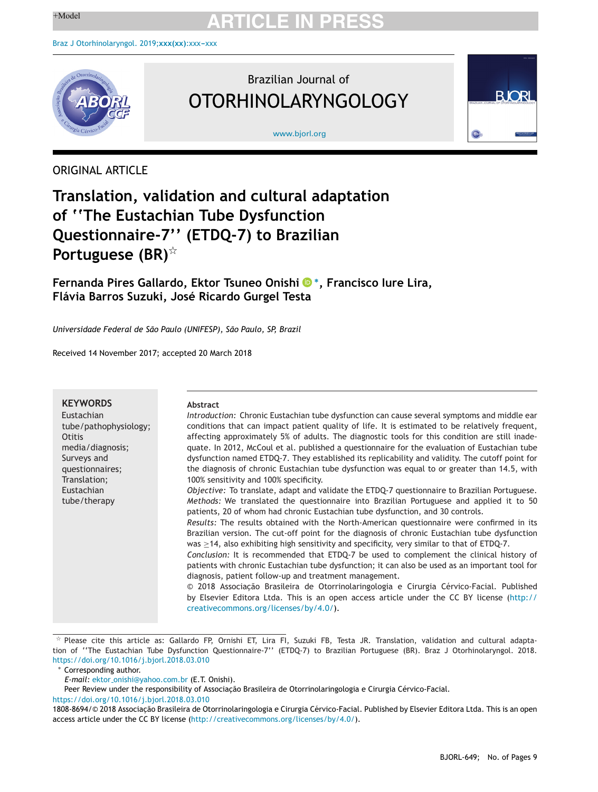

### Brazilian Journal of OTORHINOLARYNGOLOGY

[www.bjorl.org](http://www.bjorl.org)



ORIGINAL ARTICLE

### **Translation, validation and cultural adaptation of ''The Eustachian Tube Dysfunction Questionnaire-7'' (ETDQ-7) to Brazilian Portuguese (BR)**-

**Fernanda Pires Gallardo, Ektor Tsuneo Onish[i](https://orcid.org/0000-0003-1501-8409) <sup>∗</sup>, Francisco Iure Lira, Flávia Barros Suzuki, José Ricardo Gurgel Testa**

*Universidade Federal de São Paulo (UNIFESP), São Paulo, SP, Brazil*

Received 14 November 2017; accepted 20 March 2018

| <b>KEYWORDS</b><br>Eustachian<br>tube/pathophysiology;<br>Otitis<br>media/diagnosis;<br>Surveys and<br>questionnaires;<br>Translation;<br>Eustachian<br>tube/therapy | Abstract<br>Introduction: Chronic Eustachian tube dysfunction can cause several symptoms and middle ear<br>conditions that can impact patient quality of life. It is estimated to be relatively frequent,<br>affecting approximately 5% of adults. The diagnostic tools for this condition are still inade-<br>quate. In 2012, McCoul et al. published a questionnaire for the evaluation of Eustachian tube<br>dysfunction named ETDQ-7. They established its replicability and validity. The cutoff point for<br>the diagnosis of chronic Eustachian tube dysfunction was equal to or greater than 14.5, with<br>100% sensitivity and 100% specificity.<br>Objective: To translate, adapt and validate the ETDQ-7 questionnaire to Brazilian Portuguese.<br><i>Methods:</i> We translated the questionnaire into Brazilian Portuguese and applied it to 50<br>patients, 20 of whom had chronic Eustachian tube dysfunction, and 30 controls.<br>Results: The results obtained with the North-American questionnaire were confirmed in its<br>Brazilian version. The cut-off point for the diagnosis of chronic Eustachian tube dysfunction<br>was $\geq$ 14, also exhibiting high sensitivity and specificity, very similar to that of ETDQ-7.<br>Conclusion: It is recommended that ETDQ-7 be used to complement the clinical history of<br>patients with chronic Eustachian tube dysfunction; it can also be used as an important tool for<br>diagnosis, patient follow-up and treatment management.<br>© 2018 Associação Brasileira de Otorrinolaringologia e Cirurgia Cérvico-Facial. Published |
|----------------------------------------------------------------------------------------------------------------------------------------------------------------------|-------------------------------------------------------------------------------------------------------------------------------------------------------------------------------------------------------------------------------------------------------------------------------------------------------------------------------------------------------------------------------------------------------------------------------------------------------------------------------------------------------------------------------------------------------------------------------------------------------------------------------------------------------------------------------------------------------------------------------------------------------------------------------------------------------------------------------------------------------------------------------------------------------------------------------------------------------------------------------------------------------------------------------------------------------------------------------------------------------------------------------------------------------------------------------------------------------------------------------------------------------------------------------------------------------------------------------------------------------------------------------------------------------------------------------------------------------------------------------------------------------------------------------------------------------------------------------------------------------|
|                                                                                                                                                                      | by Elsevier Editora Ltda. This is an open access article under the CC BY license (http://<br>creativecommons.org/licenses/by/4.0/).                                                                                                                                                                                                                                                                                                                                                                                                                                                                                                                                                                                                                                                                                                                                                                                                                                                                                                                                                                                                                                                                                                                                                                                                                                                                                                                                                                                                                                                                   |

 $*$  Please cite this article as: Gallardo FP, Ornishi ET, Lira FI, Suzuki FB, Testa JR. Translation, validation and cultural adaptation of ''The Eustachian Tube Dysfunction Questionnaire-7'' (ETDQ-7) to Brazilian Portuguese (BR). Braz J Otorhinolaryngol. 2018. <https://doi.org/10.1016/j.bjorl.2018.03.010>

∗ Corresponding author.

<https://doi.org/10.1016/j.bjorl.2018.03.010>

*E-mail:* ektor\_[onishi@yahoo.com.br](mailto:ektor_onishi@yahoo.com.br) (E.T. Onishi).

Peer Review under the responsibility of Associação Brasileira de Otorrinolaringologia e Cirurgia Cérvico-Facial.

<sup>1808-8694/© 2018</sup> Associacão Brasileira de Otorrinolaringologia e Cirurgia Cérvico-Facial. Published by Elsevier Editora Ltda. This is an open access article under the CC BY license [\(http://creativecommons.org/licenses/by/4.0/\)](http://creativecommons.org/licenses/by/4.0/).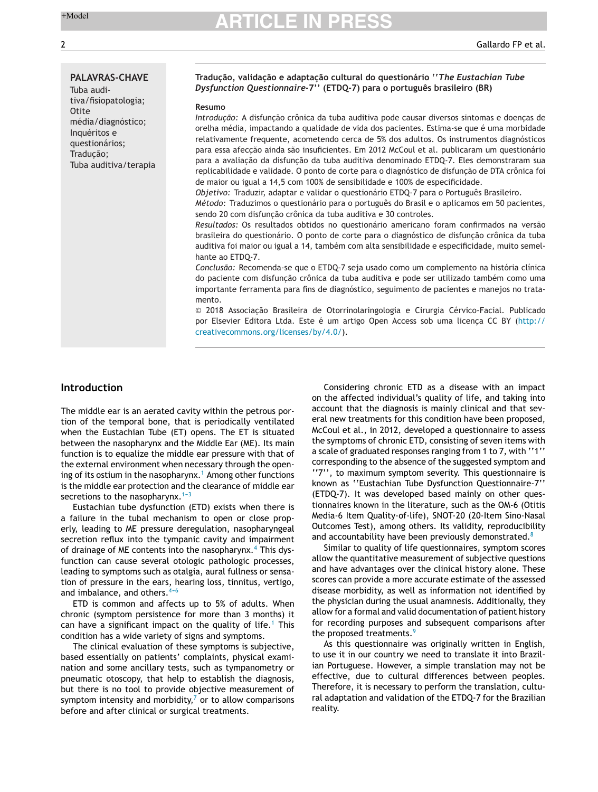#### **PALAVRAS-CHAVE**

Tuba auditiva/fisiopatologia; **Otite** média/diagnóstico; Inquéritos e questionários; Traducão: Tuba auditiva/terapia

#### **Traduc¸ão, validac¸ão e adaptac¸ão cultural do questionário ''***The Eustachian Tube Dysfunction Questionnaire***-7'' (ETDQ-7) para o português brasileiro (BR)**

#### **Resumo**

*Introdução:* A disfunção crônica da tuba auditiva pode causar diversos sintomas e doenças de orelha média, impactando a qualidade de vida dos pacientes. Estima-se que é uma morbidade relativamente frequente, acometendo cerca de 5% dos adultos. Os instrumentos diagnósticos para essa afecção ainda são insuficientes. Em 2012 McCoul et al. publicaram um questionário para a avaliacão da disfuncão da tuba auditiva denominado ETDQ-7. Eles demonstraram sua replicabilidade e validade. O ponto de corte para o diagnóstico de disfunção de DTA crônica foi de maior ou igual a 14,5 com 100% de sensibilidade e 100% de especificidade.

*Objetivo:* Traduzir, adaptar e validar o questionário ETDQ-7 para o Português Brasileiro.

*Método:* Traduzimos o questionário para o português do Brasil e o aplicamos em 50 pacientes, sendo 20 com disfunção crônica da tuba auditiva e 30 controles.

*Resultados:* Os resultados obtidos no questionário americano foram confirmados na versão brasileira do questionário. O ponto de corte para o diagnóstico de disfuncão crônica da tuba auditiva foi maior ou igual a 14, também com alta sensibilidade e especificidade, muito semelhante ao ETDQ-7.

*Conclusão:* Recomenda-se que o ETDQ-7 seja usado como um complemento na história clínica do paciente com disfunção crônica da tuba auditiva e pode ser utilizado também como uma importante ferramenta para fins de diagnóstico, seguimento de pacientes e manejos no tratamento.

© 2018 Associação Brasileira de Otorrinolaringologia e Cirurgia Cérvico-Facial. Publicado por Elsevier Editora Ltda. Este é um artigo Open Access sob uma licenca CC BY [\(http://](http://creativecommons.org/licenses/by/4.0/) [creativecommons.org/licenses/by/4.0/\)](http://creativecommons.org/licenses/by/4.0/).

### **Introduction**

The middle ear is an aerated cavity within the petrous portion of the temporal bone, that is periodically ventilated when the Eustachian Tube (ET) opens. The ET is situated between the nasopharynx and the Middle Ear (ME). Its main function is to equalize the middle ear pressure with that of the external environment when necessary through the open-ing of its ostium in the nasopharynx.<sup>1</sup> [A](#page-8-0)mong other functions is the middle ear protection and the clearance of middle ear secretions to the nasopharynx. $1-3$ 

Eustachian tube dysfunction (ETD) exists when there is a failure in the tubal mechanism to open or close properly, leading to ME pressure deregulation, nasopharyngeal secretion reflux into the tympanic cavity and impairment of drainage of ME contents into the nasopharynx.<sup>[4](#page-8-0)</sup> This dysfunction can cause several otologic pathologic processes, leading to symptoms such as otalgia, aural fullness or sensation of pressure in the ears, hearing loss, tinnitus, vertigo, and imbalance, and others. $4-6$ 

ETD is common and affects up to 5% of adults. When chronic (symptom persistence for more than 3 months) it can have a significant impact on the quality of life.<sup>[1](#page-8-0)</sup> This condition has a wide variety of signs and symptoms.

The clinical evaluation of these symptoms is subjective, based essentially on patients' complaints, physical examination and some ancillary tests, such as tympanometry or pneumatic otoscopy, that help to establish the diagnosis, but there is no tool to provide objective measurement of symptom intensity and morbidity, $<sup>7</sup>$  $<sup>7</sup>$  $<sup>7</sup>$  or to allow comparisons</sup> before and after clinical or surgical treatments.

Considering chronic ETD as a disease with an impact on the affected individual's quality of life, and taking into account that the diagnosis is mainly clinical and that several new treatments for this condition have been proposed, McCoul et al., in 2012, developed a questionnaire to assess the symptoms of chronic ETD, consisting of seven items with a scale of graduated responses ranging from 1 to 7, with ''1'' corresponding to the absence of the suggested symptom and ''7'', to maximum symptom severity. This questionnaire is known as ''Eustachian Tube Dysfunction Questionnaire-7'' (ETDQ-7). It was developed based mainly on other questionnaires known in the literature, such as the OM-6 (Otitis Media-6 Item Quality-of-life), SNOT-20 (20-Item Sino-Nasal Outcomes Test), among others. Its validity, reproducibility and accountability have been previously demonstrated. $8$ 

Similar to quality of life questionnaires, symptom scores allow the quantitative measurement of subjective questions and have advantages over the clinical history alone. These scores can provide a more accurate estimate of the assessed disease morbidity, as well as information not identified by the physician during the usual anamnesis. Additionally, they allow for a formal and valid documentation of patient history for recording purposes and subsequent comparisons after the proposed treatments.<sup>[9](#page-8-0)</sup>

As this questionnaire was originally written in English, to use it in our country we need to translate it into Brazilian Portuguese. However, a simple translation may not be effective, due to cultural differences between peoples. Therefore, it is necessary to perform the translation, cultural adaptation and validation of the ETDQ-7 for the Brazilian reality.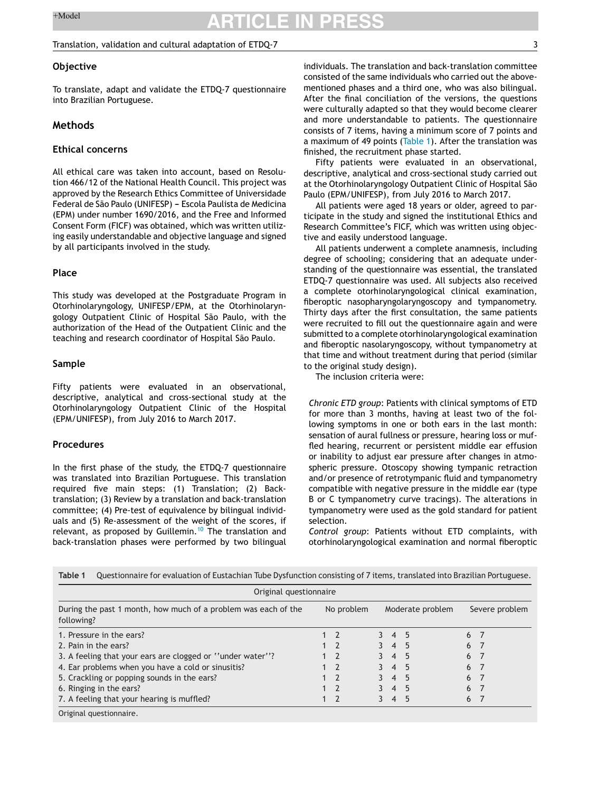### Translation, validation and cultural adaptation of ETDQ-7 3

### **Objective**

To translate, adapt and validate the ETDQ-7 questionnaire into Brazilian Portuguese.

### **Methods**

### **Ethical concerns**

All ethical care was taken into account, based on Resolution 466/12 of the National Health Council. This project was approved by the Research Ethics Committee of Universidade Federal de São Paulo (UNIFESP) - Escola Paulista de Medicina (EPM) under number 1690/2016, and the Free and Informed Consent Form (FICF) was obtained, which was written utilizing easily understandable and objective language and signed by all participants involved in the study.

#### **Place**

This study was developed at the Postgraduate Program in Otorhinolaryngology, UNIFESP/EPM, at the Otorhinolaryngology Outpatient Clinic of Hospital São Paulo, with the authorization of the Head of the Outpatient Clinic and the teaching and research coordinator of Hospital São Paulo.

#### **Sample**

Fifty patients were evaluated in an observational, descriptive, analytical and cross-sectional study at the Otorhinolaryngology Outpatient Clinic of the Hospital (EPM/UNIFESP), from July 2016 to March 2017.

#### **Procedures**

In the first phase of the study, the ETDQ-7 questionnaire was translated into Brazilian Portuguese. This translation required five main steps: (1) Translation; (2) Backtranslation; (3) Review by a translation and back-translation committee; (4) Pre-test of equivalence by bilingual individuals and (5) Re-assessment of the weight of the scores, if relevant, as proposed by Guillemin.<sup>[10](#page-8-0)</sup> The translation and back-translation phases were performed by two bilingual individuals. The translation and back-translation committee consisted of the same individuals who carried out the abovementioned phases and a third one, who was also bilingual. After the final conciliation of the versions, the questions were culturally adapted so that they would become clearer and more understandable to patients. The questionnaire consists of 7 items, having a minimum score of 7 points and a maximum of 49 points (Table 1). After the translation was finished, the recruitment phase started.

Fifty patients were evaluated in an observational, descriptive, analytical and cross-sectional study carried out at the Otorhinolaryngology Outpatient Clinic of Hospital São Paulo (EPM/UNIFESP), from July 2016 to March 2017.

All patients were aged 18 years or older, agreed to participate in the study and signed the institutional Ethics and Research Committee's FICF, which was written using objective and easily understood language.

All patients underwent a complete anamnesis, including degree of schooling; considering that an adequate understanding of the questionnaire was essential, the translated ETDQ-7 questionnaire was used. All subjects also received a complete otorhinolaryngological clinical examination, fiberoptic nasopharyngolaryngoscopy and tympanometry. Thirty days after the first consultation, the same patients were recruited to fill out the questionnaire again and were submitted to a complete otorhinolaryngological examination and fiberoptic nasolaryngoscopy, without tympanometry at that time and without treatment during that period (similar to the original study design).

The inclusion criteria were:

*Chronic ETD group*: Patients with clinical symptoms of ETD for more than 3 months, having at least two of the following symptoms in one or both ears in the last month: sensation of aural fullness or pressure, hearing loss or muffled hearing, recurrent or persistent middle ear effusion or inability to adjust ear pressure after changes in atmospheric pressure. Otoscopy showing tympanic retraction and/or presence of retrotympanic fluid and tympanometry compatible with negative pressure in the middle ear (type B or C tympanometry curve tracings). The alterations in tympanometry were used as the gold standard for patient selection.

*Control group*: Patients without ETD complaints, with otorhinolaryngological examination and normal fiberoptic

| Original questionnaire                                                       |             |                     |                  |   |                |
|------------------------------------------------------------------------------|-------------|---------------------|------------------|---|----------------|
| During the past 1 month, how much of a problem was each of the<br>following? | No problem  |                     | Moderate problem |   | Severe problem |
| 1. Pressure in the ears?                                                     | $1 \quad 2$ | $3 \quad 4 \quad 5$ |                  |   | 6 7            |
| 2. Pain in the ears?                                                         | $1 \quad 2$ | 3 4 5               |                  | 6 | - 7            |
| 3. A feeling that your ears are clogged or "under water"?                    | $1 \quad 2$ | 3 4 5               |                  | 6 | - 7            |
| 4. Ear problems when you have a cold or sinusitis?                           | $1 \quad 2$ | 3 4 5               |                  | 6 | - 7            |
| 5. Crackling or popping sounds in the ears?                                  | $1 \quad 2$ | $3 \t4 \t5$         |                  |   | 6 7            |
| 6. Ringing in the ears?                                                      | $1 \quad 2$ | 3 4 5               |                  |   | 6 7            |
| 7. A feeling that your hearing is muffled?                                   | $1 \quad 2$ | 3 4 5               |                  | 6 | - 7            |

| Table 1 Questionnaire for evaluation of Eustachian Tube Dysfunction consisting of 7 items, translated into Brazilian Portuguese. |  |
|----------------------------------------------------------------------------------------------------------------------------------|--|
|----------------------------------------------------------------------------------------------------------------------------------|--|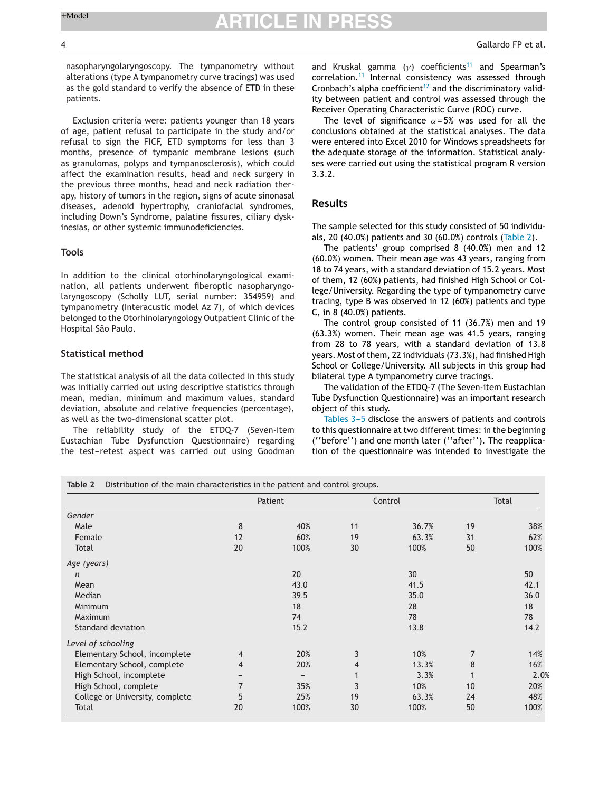nasopharyngolaryngoscopy. The tympanometry without alterations (type A tympanometry curve tracings) was used as the gold standard to verify the absence of ETD in these patients.

Exclusion criteria were: patients younger than 18 years of age, patient refusal to participate in the study and/or refusal to sign the FICF, ETD symptoms for less than 3 months, presence of tympanic membrane lesions (such as granulomas, polyps and tympanosclerosis), which could affect the examination results, head and neck surgery in the previous three months, head and neck radiation therapy, history of tumors in the region, signs of acute sinonasal diseases, adenoid hypertrophy, craniofacial syndromes, including Down's Syndrome, palatine fissures, ciliary dyskinesias, or other systemic immunodeficiencies.

#### **Tools**

In addition to the clinical otorhinolaryngological examination, all patients underwent fiberoptic nasopharyngolaryngoscopy (Scholly LUT, serial number: 354959) and tympanometry (Interacustic model Az 7), of which devices belonged to the Otorhinolaryngology Outpatient Clinic of the Hospital São Paulo.

#### **Statistical method**

The statistical analysis of all the data collected in this study was initially carried out using descriptive statistics through mean, median, minimum and maximum values, standard deviation, absolute and relative frequencies (percentage), as well as the two-dimensional scatter plot.

The reliability study of the ETDQ-7 (Seven-item Eustachian Tube Dysfunction Questionnaire) regarding the test-retest aspect was carried out using Goodman and Kruskal gamma ( $\gamma$ ) coefficients<sup>[11](#page-8-0)</sup> and Spearman's correlation.[11](#page-8-0) Internal consistency was assessed through Cronbach's alpha coefficient<sup>[12](#page-8-0)</sup> and the discriminatory validity between patient and control was assessed through the Receiver Operating Characteristic Curve (ROC) curve.

The level of significance  $\alpha = 5\%$  was used for all the conclusions obtained at the statistical analyses. The data were entered into Excel 2010 for Windows spreadsheets for the adequate storage of the information. Statistical analyses were carried out using the statistical program R version 3.3.2.

#### **Results**

The sample selected for this study consisted of 50 individuals, 20 (40.0%) patients and 30 (60.0%) controls (Table 2).

The patients' group comprised 8 (40.0%) men and 12 (60.0%) women. Their mean age was 43 years, ranging from 18 to 74 years, with a standard deviation of 15.2 years. Most of them, 12 (60%) patients, had finished High School or College/University. Regarding the type of tympanometry curve tracing, type B was observed in 12 (60%) patients and type C, in 8 (40.0%) patients.

The control group consisted of 11 (36.7%) men and 19 (63.3%) women. Their mean age was 41.5 years, ranging from 28 to 78 years, with a standard deviation of 13.8 years. Most of them, 22 individuals (73.3%), had finished High School or College/University. All subjects in this group had bilateral type A tympanometry curve tracings.

The validation of the ETDQ-7 (The Seven-item Eustachian Tube Dysfunction Questionnaire) was an important research object of this study.

[Tables](#page-4-0) 3-5 disclose the answers of patients and controls to this questionnaire at two different times: in the beginning (''before'') and one month later (''after''). The reapplication of the questionnaire was intended to investigate the

**Table 2** Distribution of the main characteristics in the patient and control groups.

|                                 |                | Patient |    | Control |    | Total |
|---------------------------------|----------------|---------|----|---------|----|-------|
| Gender                          |                |         |    |         |    |       |
| Male                            | 8              | 40%     | 11 | 36.7%   | 19 | 38%   |
| Female                          | 12             | 60%     | 19 | 63.3%   | 31 | 62%   |
| Total                           | 20             | 100%    | 30 | 100%    | 50 | 100%  |
| Age (years)                     |                |         |    |         |    |       |
| n                               |                | 20      |    | 30      |    | 50    |
| Mean                            |                | 43.0    |    | 41.5    |    | 42.1  |
| Median                          |                | 39.5    |    | 35.0    |    | 36.0  |
| Minimum                         |                | 18      |    | 28      |    | 18    |
| Maximum                         |                | 74      |    | 78      |    | 78    |
| Standard deviation              |                | 15.2    |    | 13.8    |    | 14.2  |
| Level of schooling              |                |         |    |         |    |       |
| Elementary School, incomplete   | $\overline{4}$ | 20%     | 3  | 10%     | 7  | 14%   |
| Elementary School, complete     | 4              | 20%     | 4  | 13.3%   | 8  | 16%   |
| High School, incomplete         |                |         |    | 3.3%    |    | 2.0%  |
| High School, complete           |                | 35%     | 3  | 10%     | 10 | 20%   |
| College or University, complete | 5              | 25%     | 19 | 63.3%   | 24 | 48%   |
| Total                           | 20             | 100%    | 30 | 100%    | 50 | 100%  |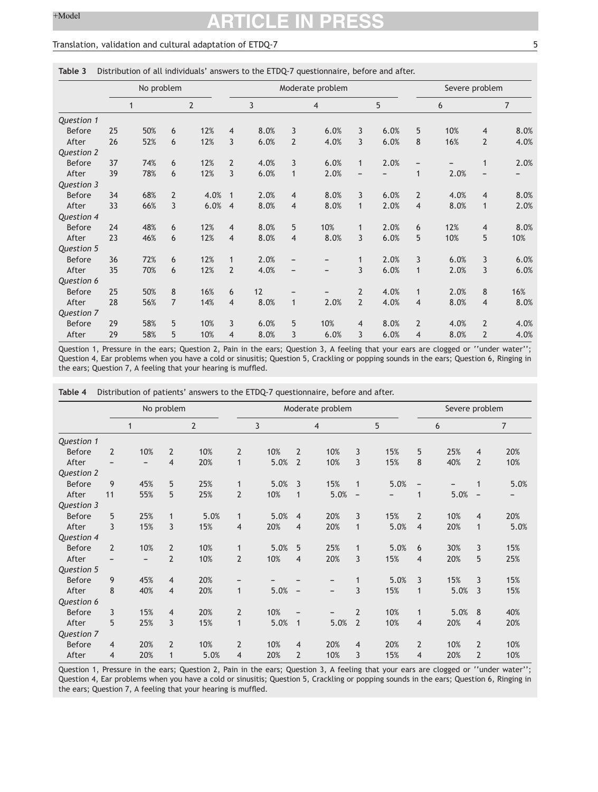#### <span id="page-4-0"></span>Translation, validation and cultural adaptation of ETDQ-7 5

#### **Table 3** Distribution of all individuals' answers to the ETDQ-7 questionnaire, before and after.

|               | No problem |              |                |                |                |      | Moderate problem |                | Severe problem |      |                |      |                |                |
|---------------|------------|--------------|----------------|----------------|----------------|------|------------------|----------------|----------------|------|----------------|------|----------------|----------------|
|               |            | $\mathbf{1}$ |                | $\overline{2}$ |                | 3    |                  | $\overline{4}$ |                | 5    |                | 6    |                | $\overline{7}$ |
| Question 1    |            |              |                |                |                |      |                  |                |                |      |                |      |                |                |
| <b>Before</b> | 25         | 50%          | 6              | 12%            | $\overline{4}$ | 8.0% | 3                | 6.0%           | 3              | 6.0% | 5              | 10%  | $\overline{4}$ | 8.0%           |
| After         | 26         | 52%          | 6              | 12%            | 3              | 6.0% | $\overline{2}$   | 4.0%           | 3              | 6.0% | 8              | 16%  | $\overline{2}$ | 4.0%           |
| Question 2    |            |              |                |                |                |      |                  |                |                |      |                |      |                |                |
| <b>Before</b> | 37         | 74%          | 6              | 12%            | $\overline{2}$ | 4.0% | 3                | 6.0%           | $\mathbf{1}$   | 2.0% | -              |      | 1              | 2.0%           |
| After         | 39         | 78%          | 6              | 12%            | 3              | 6.0% | $\mathbf{1}$     | 2.0%           |                |      | $\mathbf{1}$   | 2.0% |                |                |
| Question 3    |            |              |                |                |                |      |                  |                |                |      |                |      |                |                |
| <b>Before</b> | 34         | 68%          | $\overline{2}$ | 4.0%           | 1              | 2.0% | $\overline{4}$   | 8.0%           | 3              | 6.0% | $\overline{2}$ | 4.0% | $\overline{4}$ | 8.0%           |
| After         | 33         | 66%          | 3              | 6.0%           | $\overline{4}$ | 8.0% | $\overline{4}$   | 8.0%           | $\mathbf{1}$   | 2.0% | $\overline{4}$ | 8.0% | $\mathbf{1}$   | 2.0%           |
| Question 4    |            |              |                |                |                |      |                  |                |                |      |                |      |                |                |
| <b>Before</b> | 24         | 48%          | 6              | 12%            | $\overline{4}$ | 8.0% | 5                | 10%            | $\mathbf{1}$   | 2.0% | 6              | 12%  | $\overline{4}$ | 8.0%           |
| After         | 23         | 46%          | 6              | 12%            | $\overline{4}$ | 8.0% | $\overline{4}$   | 8.0%           | 3              | 6.0% | 5              | 10%  | 5              | 10%            |
| Question 5    |            |              |                |                |                |      |                  |                |                |      |                |      |                |                |
| <b>Before</b> | 36         | 72%          | 6              | 12%            | $\mathbf{1}$   | 2.0% | -                |                | $\mathbf{1}$   | 2.0% | 3              | 6.0% | 3              | 6.0%           |
| After         | 35         | 70%          | 6              | 12%            | $\overline{2}$ | 4.0% | -                | -              | 3              | 6.0% | $\mathbf{1}$   | 2.0% | 3              | 6.0%           |
| Question 6    |            |              |                |                |                |      |                  |                |                |      |                |      |                |                |
| <b>Before</b> | 25         | 50%          | 8              | 16%            | 6              | 12   |                  |                | $\overline{2}$ | 4.0% | $\mathbf{1}$   | 2.0% | 8              | 16%            |
| After         | 28         | 56%          | $\overline{7}$ | 14%            | $\overline{4}$ | 8.0% | $\mathbf{1}$     | 2.0%           | $\overline{2}$ | 4.0% | $\overline{4}$ | 8.0% | $\overline{4}$ | 8.0%           |
| Question 7    |            |              |                |                |                |      |                  |                |                |      |                |      |                |                |
| <b>Before</b> | 29         | 58%          | 5              | 10%            | 3              | 6.0% | 5                | 10%            | $\overline{4}$ | 8.0% | $\overline{2}$ | 4.0% | $\overline{2}$ | 4.0%           |
| After         | 29         | 58%          | 5              | 10%            | 4              | 8.0% | 3                | 6.0%           | 3              | 6.0% | 4              | 8.0% | $\overline{2}$ | 4.0%           |

Question 1, Pressure in the ears; Question 2, Pain in the ears; Question 3, A feeling that your ears are clogged or ''under water''; Question 4, Ear problems when you have a cold or sinusitis; Question 5, Crackling or popping sounds in the ears; Question 6, Ringing in the ears; Question 7, A feeling that your hearing is muffled.

|  | Table 4 Distribution of patients' answers to the ETDQ-7 questionnaire, before and after. |  |  |  |  |  |  |
|--|------------------------------------------------------------------------------------------|--|--|--|--|--|--|
|--|------------------------------------------------------------------------------------------|--|--|--|--|--|--|

|               |                          |              | No problem     |                | Moderate problem |      |                          |                |                          |      |                          | Severe problem |                 |      |
|---------------|--------------------------|--------------|----------------|----------------|------------------|------|--------------------------|----------------|--------------------------|------|--------------------------|----------------|-----------------|------|
|               |                          | $\mathbf{1}$ |                | $\overline{2}$ |                  | 3    |                          | $\overline{4}$ |                          | 5    |                          | 6              |                 | 7    |
| Question 1    |                          |              |                |                |                  |      |                          |                |                          |      |                          |                |                 |      |
| <b>Before</b> | $\overline{2}$           | 10%          | $\overline{2}$ | 10%            | $\overline{2}$   | 10%  | $\overline{2}$           | 10%            | 3                        | 15%  | 5                        | 25%            | $\overline{4}$  | 20%  |
| After         |                          | -            | $\overline{4}$ | 20%            | $\mathbf{1}$     | 5.0% | $\overline{2}$           | 10%            | 3                        | 15%  | 8                        | 40%            | $\overline{2}$  | 10%  |
| Question 2    |                          |              |                |                |                  |      |                          |                |                          |      |                          |                |                 |      |
| <b>Before</b> | 9                        | 45%          | 5              | 25%            | $\mathbf{1}$     | 5.0% | 3                        | 15%            | $\mathbf{1}$             | 5.0% | $\overline{\phantom{a}}$ |                | 1               | 5.0% |
| After         | 11                       | 55%          | 5              | 25%            | $\overline{2}$   | 10%  | $\mathbf{1}$             | 5.0%           | $\overline{\phantom{a}}$ |      | 1                        | 5.0%           | $\qquad \qquad$ |      |
| Question 3    |                          |              |                |                |                  |      |                          |                |                          |      |                          |                |                 |      |
| <b>Before</b> | 5                        | 25%          | $\mathbf{1}$   | 5.0%           | $\mathbf{1}$     | 5.0% | $\overline{4}$           | 20%            | 3                        | 15%  | $\overline{2}$           | 10%            | $\overline{4}$  | 20%  |
| After         | 3                        | 15%          | 3              | 15%            | $\overline{4}$   | 20%  | $\overline{4}$           | 20%            | $\mathbf{1}$             | 5.0% | $\overline{4}$           | 20%            | 1               | 5.0% |
| Question 4    |                          |              |                |                |                  |      |                          |                |                          |      |                          |                |                 |      |
| <b>Before</b> | $\overline{\phantom{0}}$ | 10%          | $\overline{2}$ | 10%            | $\mathbf{1}$     | 5.0% | 5                        | 25%            | $\mathbf{1}$             | 5.0% | 6                        | 30%            | 3               | 15%  |
| After         |                          | -            | $\overline{2}$ | 10%            | $\overline{2}$   | 10%  | $\overline{4}$           | 20%            | 3                        | 15%  | 4                        | 20%            | 5               | 25%  |
| Question 5    |                          |              |                |                |                  |      |                          |                |                          |      |                          |                |                 |      |
| <b>Before</b> | 9                        | 45%          | $\overline{4}$ | 20%            |                  |      |                          |                | 1                        | 5.0% | 3                        | 15%            | 3               | 15%  |
| After         | 8                        | 40%          | $\overline{4}$ | 20%            | $\mathbf{1}$     | 5.0% | $\overline{\phantom{a}}$ | -              | 3                        | 15%  | 1                        | 5.0%           | $\overline{3}$  | 15%  |
| Question 6    |                          |              |                |                |                  |      |                          |                |                          |      |                          |                |                 |      |
| <b>Before</b> | $\overline{3}$           | 15%          | $\overline{4}$ | 20%            | $\overline{2}$   | 10%  | $\overline{\phantom{a}}$ | -              | $\overline{2}$           | 10%  | 1                        | 5.0%           | 8               | 40%  |
| After         | 5                        | 25%          | 3              | 15%            | $\mathbf{1}$     | 5.0% | $\mathbf{1}$             | 5.0%           | $\overline{2}$           | 10%  | 4                        | 20%            | $\overline{4}$  | 20%  |
| Question 7    |                          |              |                |                |                  |      |                          |                |                          |      |                          |                |                 |      |
| <b>Before</b> | $\overline{4}$           | 20%          | $\overline{2}$ | 10%            | $\overline{2}$   | 10%  | $\overline{4}$           | 20%            | $\overline{4}$           | 20%  | $\overline{2}$           | 10%            | $\overline{2}$  | 10%  |
| After         | 4                        | 20%          | 1              | 5.0%           | $\overline{4}$   | 20%  | $\overline{2}$           | 10%            | 3                        | 15%  | 4                        | 20%            | $\overline{2}$  | 10%  |

Question 1, Pressure in the ears; Question 2, Pain in the ears; Question 3, A feeling that your ears are clogged or ''under water''; Question 4, Ear problems when you have a cold or sinusitis; Question 5, Crackling or popping sounds in the ears; Question 6, Ringing in the ears; Question 7, A feeling that your hearing is muffled.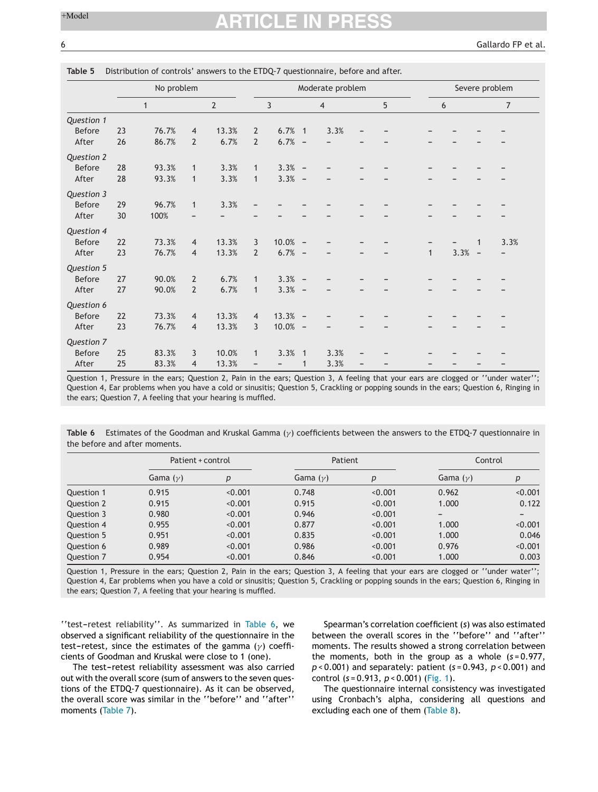|               | No problem |              |                |                |                | Moderate problem         |                          |                |                          |   |              |          |   | Severe problem |
|---------------|------------|--------------|----------------|----------------|----------------|--------------------------|--------------------------|----------------|--------------------------|---|--------------|----------|---|----------------|
|               |            | $\mathbf{1}$ |                | $\overline{2}$ |                | 3                        |                          | $\overline{4}$ |                          | 5 |              | 6        |   | $\overline{7}$ |
| Question 1    |            |              |                |                |                |                          |                          |                |                          |   |              |          |   |                |
| <b>Before</b> | 23         | 76.7%        | $\overline{4}$ | 13.3%          | $\overline{2}$ | $6.7%$ 1                 |                          | 3.3%           |                          |   |              |          |   |                |
| After         | 26         | 86.7%        | $\overline{2}$ | 6.7%           | $\overline{2}$ | 6.7%                     | $\overline{\phantom{a}}$ |                |                          |   |              |          |   |                |
| Question 2    |            |              |                |                |                |                          |                          |                |                          |   |              |          |   |                |
| <b>Before</b> | 28         | 93.3%        | $\mathbf{1}$   | 3.3%           | $\mathbf{1}$   | $3.3% -$                 |                          | -              |                          |   |              |          |   |                |
| After         | 28         | 93.3%        | $\mathbf{1}$   | 3.3%           | $\mathbf{1}$   | $3.3% -$                 |                          |                |                          |   |              |          |   |                |
| Question 3    |            |              |                |                |                |                          |                          |                |                          |   |              |          |   |                |
| Before        | 29         | 96.7%        | $\mathbf{1}$   | 3.3%           |                |                          |                          |                |                          |   |              |          |   |                |
| After         | 30         | 100%         |                |                |                |                          |                          |                |                          |   |              |          |   |                |
| Question 4    |            |              |                |                |                |                          |                          |                |                          |   |              |          |   |                |
| <b>Before</b> | 22         | 73.3%        | $\overline{4}$ | 13.3%          | 3              | $10.0\%$ -               |                          |                |                          |   |              |          | 1 | 3.3%           |
| After         | 23         | 76.7%        | $\overline{4}$ | 13.3%          | $\overline{2}$ | $6.7%$ -                 |                          |                |                          |   | $\mathbf{1}$ | $3.3% -$ |   |                |
| Question 5    |            |              |                |                |                |                          |                          |                |                          |   |              |          |   |                |
| <b>Before</b> | 27         | 90.0%        | $\overline{2}$ | 6.7%           | $\mathbf{1}$   | $3.3% -$                 |                          |                |                          |   |              |          |   |                |
| After         | 27         | 90.0%        | $\overline{2}$ | 6.7%           | $\mathbf{1}$   | $3.3% -$                 |                          |                |                          |   |              |          |   |                |
| Question 6    |            |              |                |                |                |                          |                          |                |                          |   |              |          |   |                |
| <b>Before</b> | 22         | 73.3%        | $\overline{4}$ | 13.3%          | $\overline{4}$ | $13.3% -$                |                          |                |                          |   |              |          |   |                |
| After         | 23         | 76.7%        | $\overline{4}$ | 13.3%          | 3              | $10.0\%$ -               |                          |                |                          |   |              |          |   |                |
| Question 7    |            |              |                |                |                |                          |                          |                |                          |   |              |          |   |                |
| <b>Before</b> | 25         | 83.3%        | 3              | 10.0%          | $\mathbf{1}$   | 3.3%                     | $\overline{1}$           | 3.3%           |                          |   |              |          |   |                |
| After         | 25         | 83.3%        | $\overline{4}$ | 13.3%          | -              | $\overline{\phantom{a}}$ | $\mathbf{1}$             | 3.3%           | $\overline{\phantom{a}}$ |   |              |          |   |                |

#### **Table 5** Distribution of controls' answers to the ETDQ-7 questionnaire, before and after.

Question 1, Pressure in the ears; Question 2, Pain in the ears; Question 3, A feeling that your ears are clogged or ''under water''; Question 4, Ear problems when you have a cold or sinusitis; Question 5, Crackling or popping sounds in the ears; Question 6, Ringing in the ears; Question 7, A feeling that your hearing is muffled.

**Table 6** Estimates of the Goodman and Kruskal Gamma  $(\gamma)$  coefficients between the answers to the ETDQ-7 questionnaire in the before and after moments.

|            | Patient + control |         | Patient    |         | Control                      |                              |  |
|------------|-------------------|---------|------------|---------|------------------------------|------------------------------|--|
|            | Gama $(y)$        | р       | Gama $(y)$ | р       | Gama $(y)$                   | p                            |  |
| Question 1 | 0.915             | < 0.001 | 0.748      | < 0.001 | 0.962                        | < 0.001                      |  |
| Question 2 | 0.915             | < 0.001 | 0.915      | < 0.001 | 1.000                        | 0.122                        |  |
| Question 3 | 0.980             | < 0.001 | 0.946      | < 0.001 | $\qquad \qquad \blacksquare$ | $\qquad \qquad \blacksquare$ |  |
| Question 4 | 0.955             | < 0.001 | 0.877      | < 0.001 | 1.000                        | < 0.001                      |  |
| Question 5 | 0.951             | < 0.001 | 0.835      | < 0.001 | 1.000                        | 0.046                        |  |
| Question 6 | 0.989             | < 0.001 | 0.986      | < 0.001 | 0.976                        | < 0.001                      |  |
| Question 7 | 0.954             | < 0.001 | 0.846      | < 0.001 | 1.000                        | 0.003                        |  |

Question 1, Pressure in the ears; Question 2, Pain in the ears; Question 3, A feeling that your ears are clogged or ''under water''; Question 4, Ear problems when you have a cold or sinusitis; Question 5, Crackling or popping sounds in the ears; Question 6, Ringing in the ears; Question 7, A feeling that your hearing is muffled.

"test-retest reliability". As summarized in Table 6, we observed a significant reliability of the questionnaire in the test-retest, since the estimates of the gamma ( $\gamma$ ) coefficients of Goodman and Kruskal were close to 1 (one).

The test-retest reliability assessment was also carried out with the overall score (sum of answers to the seven questions of the ETDQ-7 questionnaire). As it can be observed, the overall score was similar in the ''before'' and ''after'' moments ([Table](#page-6-0) 7).

Spearman's correlation coefficient (*s*) was also estimated between the overall scores in the ''before'' and ''after'' moments. The results showed a strong correlation between the moments, both in the group as a whole (*s* = 0.977, *p* < 0.001) and separately: patient (*s* = 0.943, *p* < 0.001) and control (*s* = 0.913, *p* < 0.001) [\(Fig.](#page-6-0) 1).

The questionnaire internal consistency was investigated using Cronbach's alpha, considering all questions and excluding each one of them [\(Table](#page-6-0) 8).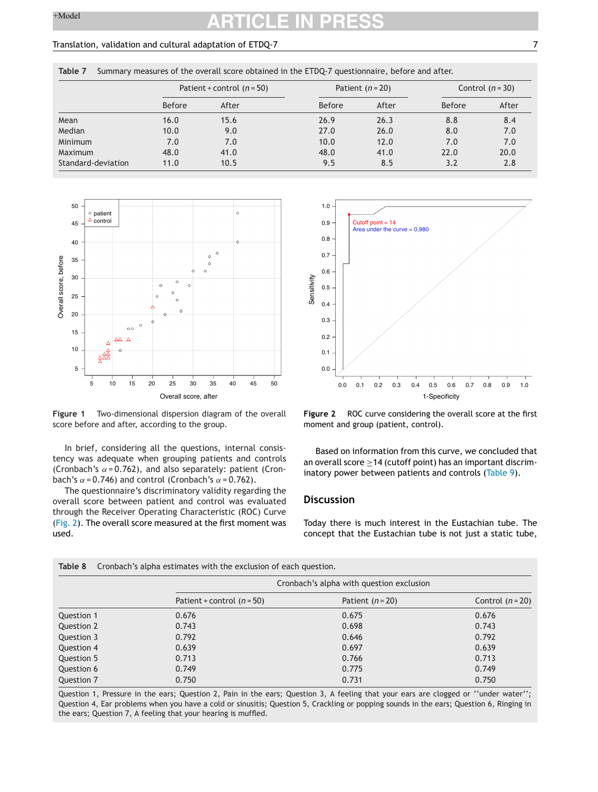#### <span id="page-6-0"></span>Translation, validation and cultural adaptation of ETDQ-7 7

|  | Table 7 Summary measures of the overall score obtained in the ETDQ-7 questionnaire, before and after. |  |  |  |  |  |
|--|-------------------------------------------------------------------------------------------------------|--|--|--|--|--|
|--|-------------------------------------------------------------------------------------------------------|--|--|--|--|--|

|                    | Patient + control $(n = 50)$ |       |               | Patient $(n=20)$ | Control $(n=30)$ |       |  |
|--------------------|------------------------------|-------|---------------|------------------|------------------|-------|--|
|                    | <b>Before</b>                | After | <b>Before</b> | After            | Before           | After |  |
| Mean               | 16.0                         | 15.6  | 26.9          | 26.3             | 8.8              | 8.4   |  |
| Median             | 10.0                         | 9.0   | 27.0          | 26.0             | 8.0              | 7.0   |  |
| Minimum            | 7.0                          | 7.0   | 10.0          | 12.0             | 7.0              | 7.0   |  |
| Maximum            | 48.0                         | 41.0  | 48.0          | 41.0             | 22.0             | 20.0  |  |
| Standard-deviation | 11.0                         | 10.5  | 9.5           | 8.5              | 3.2              | 2.8   |  |



**Figure 1** Two-dimensional dispersion diagram of the overall score before and after, according to the group.

In brief, considering all the questions, internal consistency was adequate when grouping patients and controls (Cronbach's  $\alpha$  = 0.762), and also separately: patient (Cronbach's  $\alpha$  = 0.746) and control (Cronbach's  $\alpha$  = 0.762).

The questionnaire's discriminatory validity regarding the overall score between patient and control was evaluated through the Receiver Operating Characteristic (ROC) Curve (Fig. 2). The overall score measured at the first moment was used.



**Figure 2** ROC curve considering the overall score at the first moment and group (patient, control).

Based on information from this curve, we concluded that an overall score  $\geq$  14 (cutoff point) has an important discriminatory power between patients and controls ([Table](#page-7-0) 9).

#### **Discussion**

Today there is much interest in the Eustachian tube. The concept that the Eustachian tube is not just a static tube,

|            | Cronbach's alpha with question exclusion |                  |                  |  |  |  |  |  |
|------------|------------------------------------------|------------------|------------------|--|--|--|--|--|
|            | Patient + control $(n = 50)$             | Patient $(n=20)$ | Control $(n=20)$ |  |  |  |  |  |
| Question 1 | 0.676                                    | 0.675            | 0.676            |  |  |  |  |  |
| Question 2 | 0.743                                    | 0.698            | 0.743            |  |  |  |  |  |
| Question 3 | 0.792                                    | 0.646            | 0.792            |  |  |  |  |  |
| Question 4 | 0.639                                    | 0.697            | 0.639            |  |  |  |  |  |
| Question 5 | 0.713                                    | 0.766            | 0.713            |  |  |  |  |  |
| Question 6 | 0.749                                    | 0.775            | 0.749            |  |  |  |  |  |
| Question 7 | 0.750                                    | 0.731            | 0.750            |  |  |  |  |  |

Question 1, Pressure in the ears; Question 2, Pain in the ears; Question 3, A feeling that your ears are clogged or ''under water''; Question 4, Ear problems when you have a cold or sinusitis; Question 5, Crackling or popping sounds in the ears; Question 6, Ringing in the ears; Question 7, A feeling that your hearing is muffled.

**Table 8** Cronbach's alpha estimates with the exclusion of each question.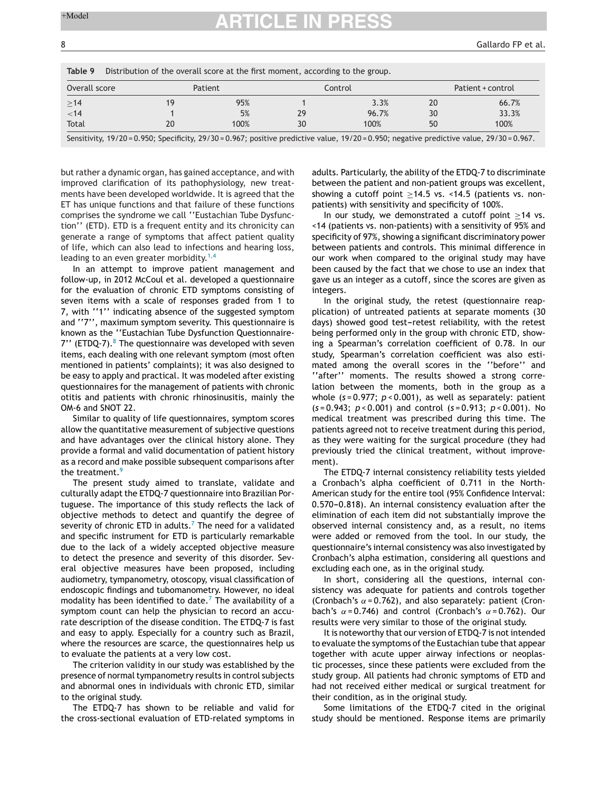<span id="page-7-0"></span>

| Overall score<br>>14 | Patient |      | Control |       | Patient + control |       |
|----------------------|---------|------|---------|-------|-------------------|-------|
|                      | 19      | 95%  |         | 3.3%  | 20                | 66.7% |
| < 14                 |         | 5%   | 29      | 96.7% | 30                | 33.3% |
| Total                | 20      | 100% | 30      | 100%  | 50                | 100%  |

but rather a dynamic organ, has gained acceptance, and with improved clarification of its pathophysiology, new treatments have been developed worldwide. It is agreed that the ET has unique functions and that failure of these functions comprises the syndrome we call ''Eustachian Tube Dysfunction'' (ETD). ETD is a frequent entity and its chronicity can generate a range of symptoms that affect patient quality of life, which can also lead to infections and hearing loss, leading to an even greater morbidity.<sup>[1,4](#page-8-0)</sup>

In an attempt to improve patient management and follow-up, in 2012 McCoul et al. developed a questionnaire for the evaluation of chronic ETD symptoms consisting of seven items with a scale of responses graded from 1 to 7, with ''1'' indicating absence of the suggested symptom and ''7'', maximum symptom severity. This questionnaire is known as the ''Eustachian Tube Dysfunction Questionnaire- $7'$ ' (ETDQ-7). $8$  The questionnaire was developed with seven items, each dealing with one relevant symptom (most often mentioned in patients' complaints); it was also designed to be easy to apply and practical. It was modeled after existing questionnaires for the management of patients with chronic otitis and patients with chronic rhinosinusitis, mainly the OM-6 and SNOT 22.

Similar to quality of life questionnaires, symptom scores allow the quantitative measurement of subjective questions and have advantages over the clinical history alone. They provide a formal and valid documentation of patient history as a record and make possible subsequent comparisons after the treatment.<sup>[9](#page-8-0)</sup>

The present study aimed to translate, validate and culturally adapt the ETDQ-7 questionnaire into Brazilian Portuguese. The importance of this study reflects the lack of objective methods to detect and quantify the degree of severity of chronic E[T](#page-8-0)D in adults. $7$  The need for a validated and specific instrument for ETD is particularly remarkable due to the lack of a widely accepted objective measure to detect the presence and severity of this disorder. Several objective measures have been proposed, including audiometry, tympanometry, otoscopy, visual classification of endoscopic findings and tubomanometry. However, no ideal modality has been identified to date. $^7$  $^7$  The availability of a symptom count can help the physician to record an accurate description of the disease condition. The ETDQ-7 is fast and easy to apply. Especially for a country such as Brazil, where the resources are scarce, the questionnaires help us to evaluate the patients at a very low cost.

The criterion validity in our study was established by the presence of normal tympanometry results in control subjects and abnormal ones in individuals with chronic ETD, similar to the original study.

The ETDQ-7 has shown to be reliable and valid for the cross-sectional evaluation of ETD-related symptoms in adults. Particularly, the ability of the ETDQ-7 to discriminate between the patient and non-patient groups was excellent, showing a cutoff point >14.5 vs. <14.5 (patients vs. nonpatients) with sensitivity and specificity of 100%.

In our study, we demonstrated a cutoff point ≥14 vs. <14 (patients vs. non-patients) with a sensitivity of 95% and specificity of 97%, showing a significant discriminatory power between patients and controls. This minimal difference in our work when compared to the original study may have been caused by the fact that we chose to use an index that gave us an integer as a cutoff, since the scores are given as integers.

In the original study, the retest (questionnaire reapplication) of untreated patients at separate moments (30 days) showed good test-retest reliability, with the retest being performed only in the group with chronic ETD, showing a Spearman's correlation coefficient of 0.78. In our study, Spearman's correlation coefficient was also estimated among the overall scores in the ''before'' and ''after'' moments. The results showed a strong correlation between the moments, both in the group as a whole (*s* = 0.977; *p* < 0.001), as well as separately: patient (*s* = 0.943; *p* < 0.001) and control (*s* = 0.913; *p* < 0.001). No medical treatment was prescribed during this time. The patients agreed not to receive treatment during this period, as they were waiting for the surgical procedure (they had previously tried the clinical treatment, without improvement).

The ETDQ-7 internal consistency reliability tests yielded a Cronbach's alpha coefficient of 0.711 in the North-American study for the entire tool (95% Confidence Interval: 0.570-0.818). An internal consistency evaluation after the elimination of each item did not substantially improve the observed internal consistency and, as a result, no items were added or removed from the tool. In our study, the questionnaire's internal consistency was also investigated by Cronbach's alpha estimation, considering all questions and excluding each one, as in the original study.

In short, considering all the questions, internal consistency was adequate for patients and controls together (Cronbach's  $\alpha$  = 0.762), and also separately: patient (Cronbach's  $\alpha$  = 0.746) and control (Cronbach's  $\alpha$  = 0.762). Our results were very similar to those of the original study.

It is noteworthy that our version of ETDQ-7 is not intended to evaluate the symptoms of the Eustachian tube that appear together with acute upper airway infections or neoplastic processes, since these patients were excluded from the study group. All patients had chronic symptoms of ETD and had not received either medical or surgical treatment for their condition, as in the original study.

Some limitations of the ETDQ-7 cited in the original study should be mentioned. Response items are primarily